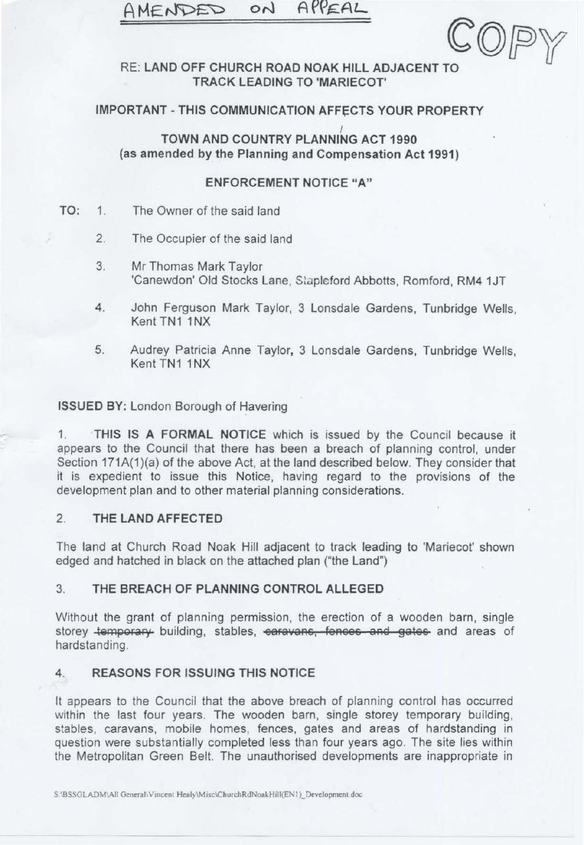# AMENDED ON APPEAL



## **RE: LAND OFF CHURCH ROAD NOAK HILL ADJACENT TO TRACK LEADING TO 'MARIECOT'**

## **IMPORTANT - THIS COMMUNICATION AFFECTS YOUR PROPERTY**

**TOWN ANO COUNTRY PLANNING ACT 1990**  ' **(as amended by the Planning and Compensation Act 1991)** 

## **ENFORCEMENT NOTICE "A"**

- TO: 1. The Owner of the said land
	- 2. The Occupier of the said land
	- 3. Mr Thomas Mark Taylor 'Canewdon' Old Stocks Lane, Stapleford Abbotts, Romford, RM4 1JT
	- 4. John Ferguson Mark Taylor, 3 Lonsdale Gardens, Tunbridge Wells, Kent TN1 1NX
	- 5. Audrey Patricia Anne Taylor, 3 Lonsdale Gardens, Tunbridge Wells, Kent TN1 1NX

**ISSUED BY:** London Borough of Havering

1. **THIS IS A FORMAL NOTICE** which is issued by the Council because it appears to the Council that there has been a breach of planning control, under Section 171A(1)(a) of the above Act, at the land described below. They consider that it is expedient to issue this Notice, having regard to the provisions of the development plan and to other material planning considerations.

# 2. **THE LAND AFFECTED**

The land at Church Road Noak Hill adjacent to track leading to 'Mariecot' shown edged and hatched in black on the attached plan ("the Land")

# 3. **THE BREACH OF PLANNING CONTROL ALLEGED**

Without the grant of planning permission, the erection of a wooden barn, single storey **temporary** building, stables, **earavans**, fences and gates and areas of hardstanding.

# **4. REASONS FOR ISSUING THIS NOTICE**

It appears to the Council that the above breach of planning control has occurred within the last four years. The wooden barn, single storey temporary building, stables, caravans, mobile homes, fences, gates and areas of hardstanding in question were substantially completed less than four years ago. The site lies within the Metropolitan Green Belt. The unauthorised developments are inappropriate in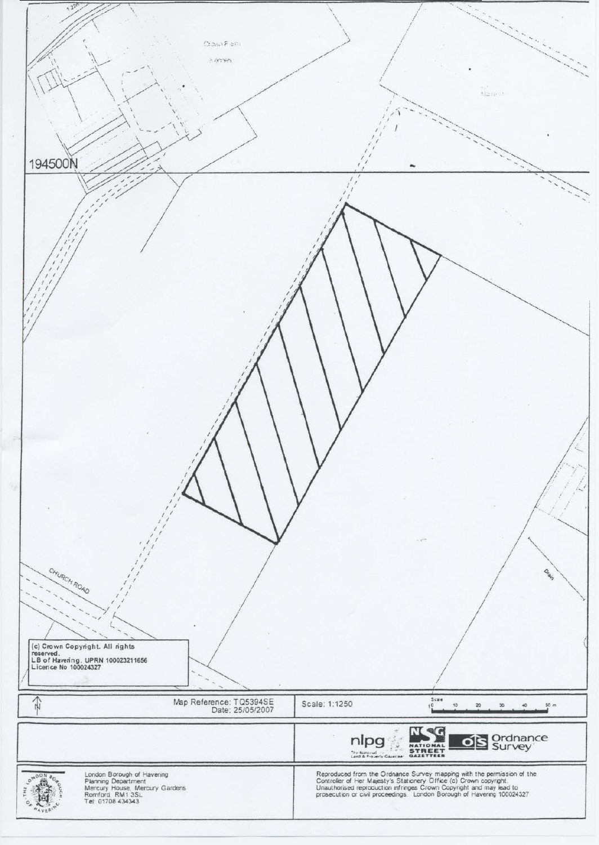| 1.220<br>Crown Fish<br>$\sim$ errors<br>194500N                                                                                        | Algonation                                                                                                                                                                                                                     |
|----------------------------------------------------------------------------------------------------------------------------------------|--------------------------------------------------------------------------------------------------------------------------------------------------------------------------------------------------------------------------------|
|                                                                                                                                        |                                                                                                                                                                                                                                |
| CHURCH ROAD<br>(c) Crown Copyright. All rights<br>reserved.<br>LB of Havering. UPRN 100023211656<br>Licence No 100024327               | Oran                                                                                                                                                                                                                           |
| $\widehat{t}$<br>Map Reference: TQ5394SE<br>Date: 25/05/2007                                                                           | Scale<br>Scale: 1:1250<br>50 <sub>m</sub><br>0 <sup>1</sup><br>10<br>20<br>30<br>40                                                                                                                                            |
|                                                                                                                                        | <b>Ned</b><br><b>OS</b> Ordnance<br>nlpg<br>NATIONAL<br>STREET<br>GAZETTEER<br>The National<br>Land & Proverty Gazetteer                                                                                                       |
| London Borough of Havering<br>Planning Department<br>Mercury House, Mercury Gardens<br>Romford, RM1 3SL<br>Tel: 01708 434343<br>ON DON | Reproduced from the Ordnance Survey mapping with the permission of the Controller of Her Majesty's Stationery Office (c) Crown copyright. Unauthorised reproduction infringes Crown Copyright and may lead to prosecution or c |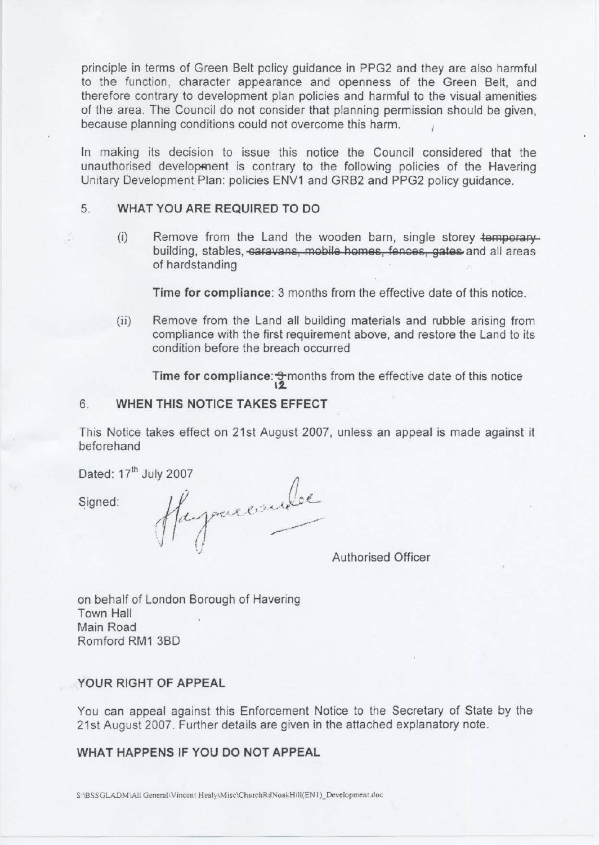principle in terms of Green Belt policy guidance in PPG2 and they are also harmful to the function, character appearance and openness of the Green Belt, and therefore contrary to development plan policies and harmful to the visual amenities of the area. The Council do not consider that planning permission should be given, because planning conditions could not overcome this harm.

In making its decision to issue this notice the Council considered that the unauthorised development is contrary to the following policies of the Havering Unitary Development Plan: policies ENV1 and GRB2 and PPG2 policy guidance.

## 5. **WHAT YOU ARE REQUIRED TO DO**

(i) Remove from the Land the wooden barn, single storey **temporary**  building, stables, **caravans, mobile homes, fences, gates** and all areas of hardstanding

**Time for compliance:** 3 months from the effective date of this notice.

(ii) Remove from the Land all building materials and rubble arising from compliance with the first requirement above, and restore the Land to its condition before the breach occurred

**Time for compliance:**  $\frac{1}{2}$  months from the effective date of this notice

## 6. **WHEN THIS NOTICE TAKES EFFECT**

This Notice takes effect on 21st August 2007, unless an appeal is made against it beforehand

Dated: 17<sup>th</sup> July 2007

Signed:

Happaresude

Authorised Officer

on behalf of London Borough of Havering Town Hall Main Road Romford RM1 3BD

### **YOUR RIGHT OF APPEAL**

You can appeal against this Enforcement Notice to the Secretary of State by the 21st August 2007. Further details are given in the attached explanatory note.

## **WHAT HAPPENS IF YOU DO NOT APPEAL**

S:\BSSGLADM\AII General\Vincent Healy\Misc\ChurchRdNoakHill(EN1)\_Development.doc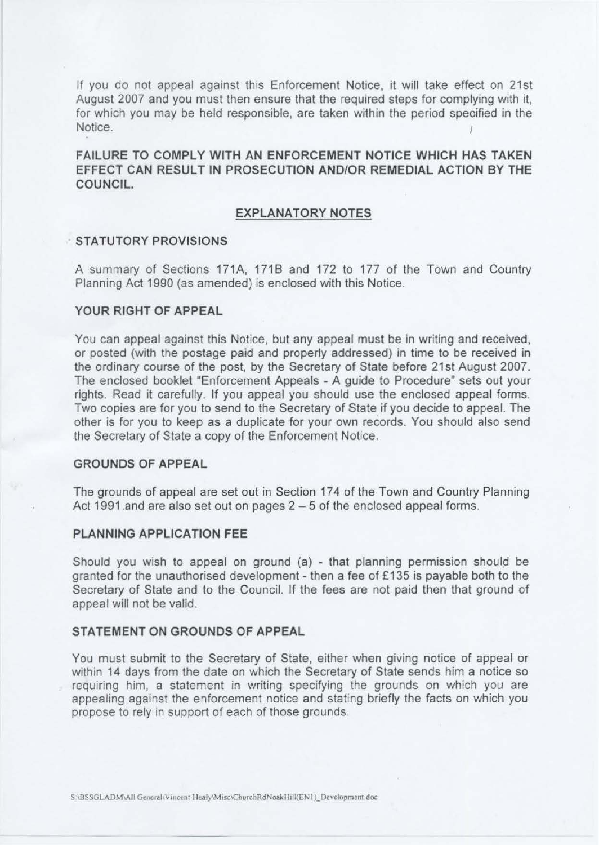If you do not appeal against this Enforcement Notice, it will take effect on 21st August 2007 and you must then ensure that the required steps for complying with it, for which you may be held responsible, are taken within the period specified in the Notice. The contract of the contract of the contract of the contract of the contract of the contract of the contract of the contract of the contract of the contract of the contract of the contract of the contract of the co

**FAILURE TO COMPLY WITH AN ENFORCEMENT NOTICE WHICH HAS TAKEN**  EFFECT CAN RESULT IN PROSECUTION AND/OR REMEDIAL ACTION BY THE **COUNCIL.** 

#### **EXPLANATORY NOTES**

#### **STATUTORY PROVISIONS**

A summary of Sections 171A, 1718 and 172 to 177 of the Town and Country Planning Act 1990 (as amended) is enclosed with this Notice.

### **YOUR RIGHT OF APPEAL**

You can appeal against this Notice, but any appeal must be in writing and received, or posted (with the postage paid and properly addressed) in time to be received in the ordinary course of the post, by the Secretary of State before 21st August 2007. The enclosed booklet "Enforcement Appeals - A guide to Procedure" sets out your rights. Read it carefully. If you appeal you should use the enclosed appeal forms. Two copies are for you to send to the Secretary of State if you decide to appeal. The other is for you to keep as a duplicate for your own records. You should also send the Secretary of State a copy of the Enforcement Notice.

#### **GROUNDS OF APPEAL**

The grounds of appeal are set out in Section 174 of the Town and Country Planning Act 1991 and are also set out on pages  $2 - 5$  of the enclosed appeal forms.

#### **PLANNING APPLICATION FEE**

Should you wish to appeal on ground (a) - that planning permission should be granted for the unauthorised development - then a fee of £135 is payable both to the Secretary of State and to the Council. If the fees are not paid then that ground of appeal will not be valid.

#### **STATEMENT ON GROUNDS OF APPEAL**

You must submit to the Secretary of State, either when giving notice of appeal or within 14 days from the date on which the Secretary of State sends him a notice so requiring him, a statement in writing specifying the grounds on which you are appealing against the enforcement notice and stating briefly the facts on which you propose to rely in support of each of those grounds.